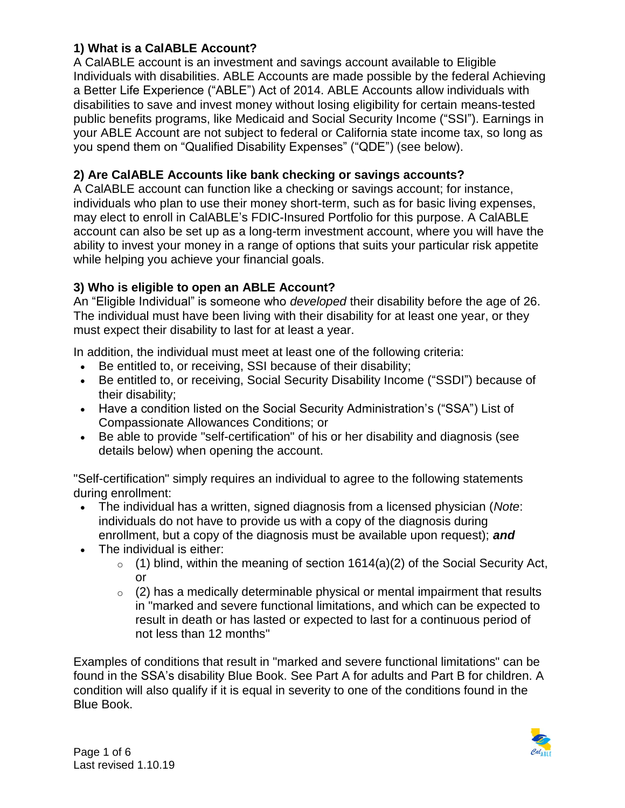## **1) What is a CalABLE Account?**

A CalABLE account is an investment and savings account available to Eligible Individuals with disabilities. ABLE Accounts are made possible by the federal Achieving a Better Life Experience ("ABLE") Act of 2014. ABLE Accounts allow individuals with disabilities to save and invest money without losing eligibility for certain means-tested public benefits programs, like Medicaid and Social Security Income ("SSI"). Earnings in your ABLE Account are not subject to federal or California state income tax, so long as you spend them on "Qualified Disability Expenses" ("QDE") (see below).

## **2) Are CalABLE Accounts like bank checking or savings accounts?**

A CalABLE account can function like a checking or savings account; for instance, individuals who plan to use their money short-term, such as for basic living expenses, may elect to enroll in CalABLE's FDIC-Insured Portfolio for this purpose. A CalABLE account can also be set up as a long-term investment account, where you will have the ability to invest your money in a range of options that suits your particular risk appetite while helping you achieve your financial goals.

## **3) Who is eligible to open an ABLE Account?**

An "Eligible Individual" is someone who *developed* their disability before the age of 26. The individual must have been living with their disability for at least one year, or they must expect their disability to last for at least a year.

In addition, the individual must meet at least one of the following criteria:

- Be entitled to, or receiving, SSI because of their disability;
- Be entitled to, or receiving, Social Security Disability Income ("SSDI") because of their disability;
- Have a condition listed on the Social Security Administration's ("SSA") List of Compassionate Allowances Conditions; or
- Be able to provide "self-certification" of his or her disability and diagnosis (see details below) when opening the account.

"Self-certification" simply requires an individual to agree to the following statements during enrollment:

- The individual has a written, signed diagnosis from a licensed physician (*Note*: individuals do not have to provide us with a copy of the diagnosis during enrollment, but a copy of the diagnosis must be available upon request); *and*
- The individual is either:
	- $\circ$  (1) blind, within the meaning of section 1614(a)(2) of the Social Security Act, or
	- $\circ$  (2) has a medically determinable physical or mental impairment that results in "marked and severe functional limitations, and which can be expected to result in death or has lasted or expected to last for a continuous period of not less than 12 months"

Examples of conditions that result in "marked and severe functional limitations" can be found in the SSA's disability Blue Book. See Part A for adults and Part B for children. A condition will also qualify if it is equal in severity to one of the conditions found in the Blue Book.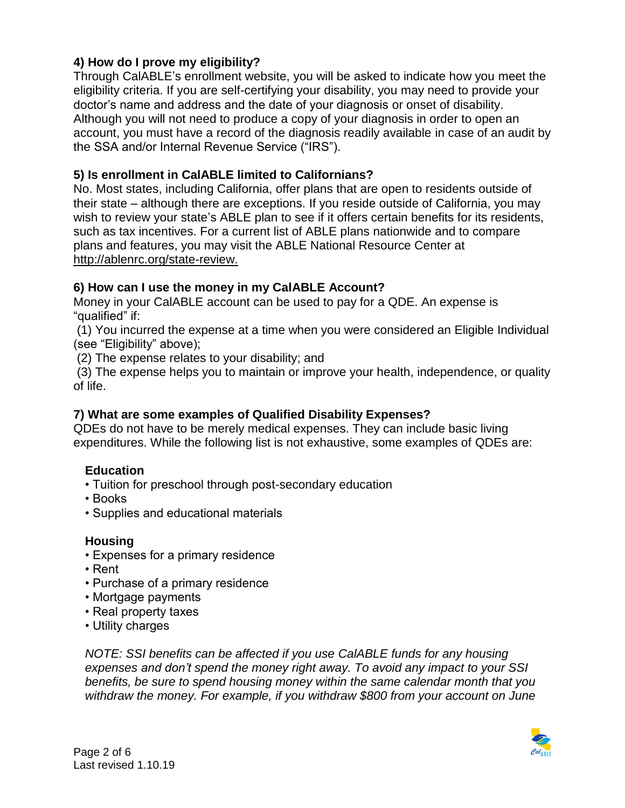## **4) How do I prove my eligibility?**

Through CalABLE's enrollment website, you will be asked to indicate how you meet the eligibility criteria. If you are self-certifying your disability, you may need to provide your doctor's name and address and the date of your diagnosis or onset of disability. Although you will not need to produce a copy of your diagnosis in order to open an account, you must have a record of the diagnosis readily available in case of an audit by the SSA and/or Internal Revenue Service ("IRS").

### **5) Is enrollment in CalABLE limited to Californians?**

No. Most states, including California, offer plans that are open to residents outside of their state – although there are exceptions. If you reside outside of California, you may wish to review your state's ABLE plan to see if it offers certain benefits for its residents, such as tax incentives. For a current list of ABLE plans nationwide and to compare plans and features, you may visit the ABLE National Resource Center at http://ablenrc.org/state-review.

#### **6) How can I use the money in my CalABLE Account?**

Money in your CalABLE account can be used to pay for a QDE. An expense is "qualified" if:

 (1) You incurred the expense at a time when you were considered an Eligible Individual (see "Eligibility" above);

(2) The expense relates to your disability; and

 (3) The expense helps you to maintain or improve your health, independence, or quality of life.

## **7) What are some examples of Qualified Disability Expenses?**

QDEs do not have to be merely medical expenses. They can include basic living expenditures. While the following list is not exhaustive, some examples of QDEs are:

## **Education**

- Tuition for preschool through post-secondary education
- Books
- Supplies and educational materials

#### **Housing**

- Expenses for a primary residence
- Rent
- Purchase of a primary residence
- Mortgage payments
- Real property taxes
- Utility charges

*NOTE: SSI benefits can be affected if you use CalABLE funds for any housing expenses and don't spend the money right away. To avoid any impact to your SSI benefits, be sure to spend housing money within the same calendar month that you withdraw the money. For example, if you withdraw \$800 from your account on June* 

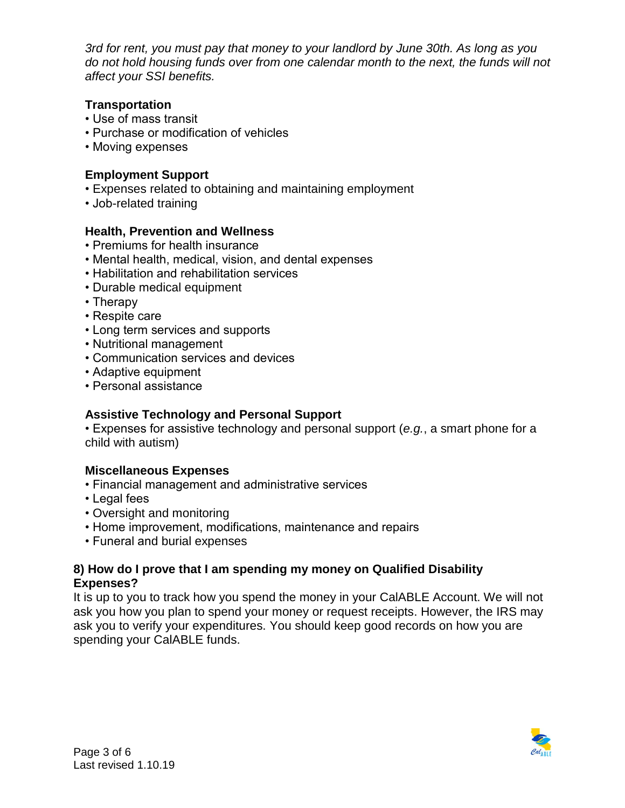*3rd for rent, you must pay that money to your landlord by June 30th. As long as you do not hold housing funds over from one calendar month to the next, the funds will not affect your SSI benefits.* 

## **Transportation**

- Use of mass transit
- Purchase or modification of vehicles
- Moving expenses

## **Employment Support**

- Expenses related to obtaining and maintaining employment
- Job-related training

## **Health, Prevention and Wellness**

- Premiums for health insurance
- Mental health, medical, vision, and dental expenses
- Habilitation and rehabilitation services
- Durable medical equipment
- Therapy
- Respite care
- Long term services and supports
- Nutritional management
- Communication services and devices
- Adaptive equipment
- Personal assistance

## **Assistive Technology and Personal Support**

• Expenses for assistive technology and personal support (*e.g.*, a smart phone for a child with autism)

## **Miscellaneous Expenses**

- Financial management and administrative services
- Legal fees
- Oversight and monitoring
- Home improvement, modifications, maintenance and repairs
- Funeral and burial expenses

#### **8) How do I prove that I am spending my money on Qualified Disability Expenses?**

It is up to you to track how you spend the money in your CalABLE Account. We will not ask you how you plan to spend your money or request receipts. However, the IRS may ask you to verify your expenditures. You should keep good records on how you are spending your CalABLE funds.

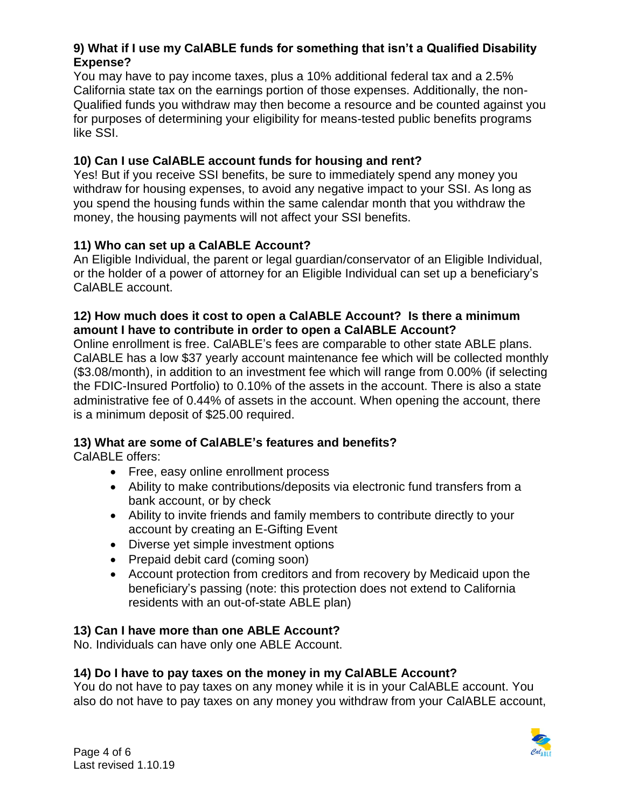## **9) What if I use my CalABLE funds for something that isn't a Qualified Disability Expense?**

You may have to pay income taxes, plus a 10% additional federal tax and a 2.5% California state tax on the earnings portion of those expenses. Additionally, the non-Qualified funds you withdraw may then become a resource and be counted against you for purposes of determining your eligibility for means-tested public benefits programs like SSI.

## **10) Can I use CalABLE account funds for housing and rent?**

Yes! But if you receive SSI benefits, be sure to immediately spend any money you withdraw for housing expenses, to avoid any negative impact to your SSI. As long as you spend the housing funds within the same calendar month that you withdraw the money, the housing payments will not affect your SSI benefits.

## **11) Who can set up a CalABLE Account?**

An Eligible Individual, the parent or legal guardian/conservator of an Eligible Individual, or the holder of a power of attorney for an Eligible Individual can set up a beneficiary's CalABLE account.

## **12) How much does it cost to open a CalABLE Account? Is there a minimum amount I have to contribute in order to open a CalABLE Account?**

Online enrollment is free. CalABLE's fees are comparable to other state ABLE plans. CalABLE has a low \$37 yearly account maintenance fee which will be collected monthly (\$3.08/month), in addition to an investment fee which will range from 0.00% (if selecting the FDIC-Insured Portfolio) to 0.10% of the assets in the account. There is also a state administrative fee of 0.44% of assets in the account. When opening the account, there is a minimum deposit of \$25.00 required.

# **13) What are some of CalABLE's features and benefits?**

CalABLE offers:

- Free, easy online enrollment process
- Ability to make contributions/deposits via electronic fund transfers from a bank account, or by check
- Ability to invite friends and family members to contribute directly to your account by creating an E-Gifting Event
- Diverse yet simple investment options
- Prepaid debit card (coming soon)
- Account protection from creditors and from recovery by Medicaid upon the beneficiary's passing (note: this protection does not extend to California residents with an out-of-state ABLE plan)

## **13) Can I have more than one ABLE Account?**

No. Individuals can have only one ABLE Account.

# **14) Do I have to pay taxes on the money in my CalABLE Account?**

You do not have to pay taxes on any money while it is in your CalABLE account. You also do not have to pay taxes on any money you withdraw from your CalABLE account,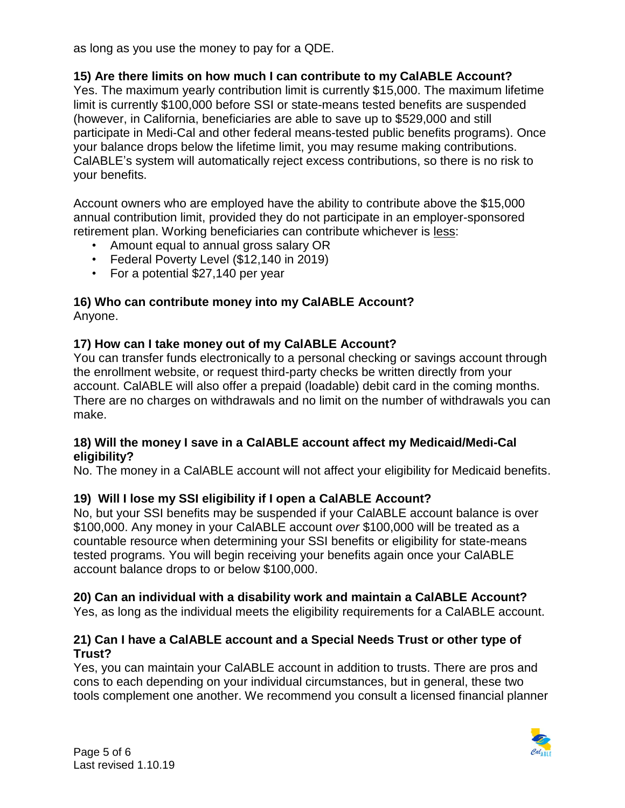as long as you use the money to pay for a QDE.

## **15) Are there limits on how much I can contribute to my CalABLE Account?**

Yes. The maximum yearly contribution limit is currently \$15,000. The maximum lifetime limit is currently \$100,000 before SSI or state-means tested benefits are suspended (however, in California, beneficiaries are able to save up to \$529,000 and still participate in Medi-Cal and other federal means-tested public benefits programs). Once your balance drops below the lifetime limit, you may resume making contributions. CalABLE's system will automatically reject excess contributions, so there is no risk to your benefits.

Account owners who are employed have the ability to contribute above the \$15,000 annual contribution limit, provided they do not participate in an employer-sponsored retirement plan. Working beneficiaries can contribute whichever is less:

- Amount equal to annual gross salary OR
- Federal Poverty Level (\$12,140 in 2019)
- For a potential \$27,140 per year

#### **16) Who can contribute money into my CalABLE Account?**  Anyone.

## **17) How can I take money out of my CalABLE Account?**

You can transfer funds electronically to a personal checking or savings account through the enrollment website, or request third-party checks be written directly from your account. CalABLE will also offer a prepaid (loadable) debit card in the coming months. There are no charges on withdrawals and no limit on the number of withdrawals you can make.

#### **18) Will the money I save in a CalABLE account affect my Medicaid/Medi-Cal eligibility?**

No. The money in a CalABLE account will not affect your eligibility for Medicaid benefits.

## **19) Will I lose my SSI eligibility if I open a CalABLE Account?**

No, but your SSI benefits may be suspended if your CalABLE account balance is over \$100,000. Any money in your CalABLE account *over* \$100,000 will be treated as a countable resource when determining your SSI benefits or eligibility for state-means tested programs. You will begin receiving your benefits again once your CalABLE account balance drops to or below \$100,000.

## **20) Can an individual with a disability work and maintain a CalABLE Account?**

Yes, as long as the individual meets the eligibility requirements for a CalABLE account.

#### **21) Can I have a CalABLE account and a Special Needs Trust or other type of Trust?**

Yes, you can maintain your CalABLE account in addition to trusts. There are pros and cons to each depending on your individual circumstances, but in general, these two tools complement one another. We recommend you consult a licensed financial planner